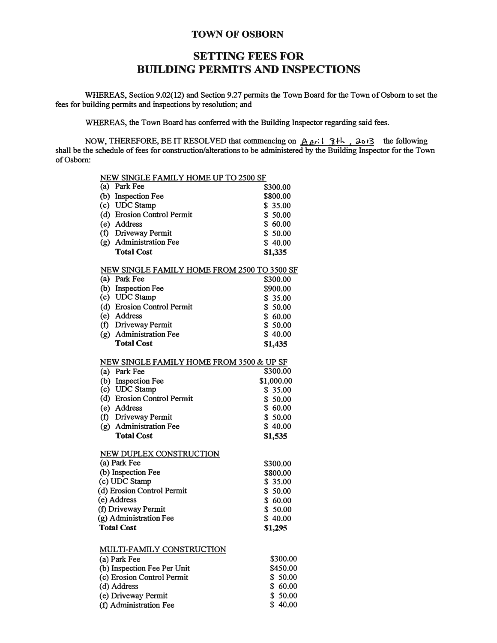## **TOWN OF OSBORN**

## **SETTING FEES FOR BUILDING PERMITS AND INSPECTIONS**

**WHEREAS, Section 9.02(12) and Section 9.27 permits the Town Board for the Town of Osborn to set the fees for building permits and inspections by resolution; and**

**WHEREAS, the Town Board has conferred with the Building Inspector regarding said fees.**

**NOW, THEREFORE, BE IT RESOLVED that commencing on A pr: I**  $\{8, \frac{1}{2}k\}$ **,**  $\{3, \frac{1}{2}k\}$  **the following shall be the schedule of fees for construction/alterations to be administered by the Building Inspector for the Town ofOsbom:** 

**\$ 40.00** 

| NEW SINGLE FAMILY HOME UP TO 2500 SF        |            |
|---------------------------------------------|------------|
| (a) Park Fee                                | \$300.00   |
| (b) Inspection Fee                          | \$800.00   |
| (c) UDC Stamp                               | \$35.00    |
| (d) Erosion Control Permit                  | \$50.00    |
| (e) Address                                 | \$60.00    |
| (f) Driveway Permit                         | \$50.00    |
| (g) Administration Fee                      | \$40.00    |
| <b>Total Cost</b>                           | \$1,335    |
| NEW SINGLE FAMILY HOME FROM 2500 TO 3500 SF |            |
| (a) Park Fee                                | \$300.00   |
| (b) Inspection Fee                          | \$900.00   |
| (c) UDC Stamp                               | \$35.00    |
| (d) Erosion Control Permit                  | \$50.00    |
| (e) Address                                 | \$60.00    |
| (f) Driveway Permit                         | \$50.00    |
| (g) Administration Fee                      | \$40.00    |
| <b>Total Cost</b>                           | \$1,435    |
| NEW SINGLE FAMILY HOME FROM 3500 & UP SF    |            |
| (a) Park Fee                                | \$300.00   |
| (b) Inspection Fee                          | \$1,000.00 |
| (c) UDC Stamp                               | \$35.00    |
| (d) Erosion Control Permit                  | \$50.00    |
| (e) Address                                 | \$60.00    |
| (f) Driveway Permit                         | \$50.00    |
| (g) Administration Fee                      | \$40.00    |
| <b>Total Cost</b>                           | \$1,535    |
| <b>NEW DUPLEX CONSTRUCTION</b>              |            |
| (a) Park Fee                                | \$300.00   |
| (b) Inspection Fee                          | \$800.00   |
| (c) UDC Stamp                               | \$35.00    |
| (d) Erosion Control Permit                  | \$50.00    |
| (e) Address                                 | \$60.00    |
| (f) Driveway Permit                         | \$50.00    |
| (g) Administration Fee                      | \$40.00    |
| <b>Total Cost</b>                           | \$1,295    |
|                                             |            |
| MULTI-FAMILY CONSTRUCTION                   |            |
| (a) Park Fee                                | \$300,00   |
| (b) Inspection Fee Per Unit                 | \$450.00   |
| (c) Erosion Control Permit                  | \$50.00    |
| (d) Address                                 | \$60.00    |
| (e) Driveway Permit                         | \$50.00    |

**(f)** Administration Fee